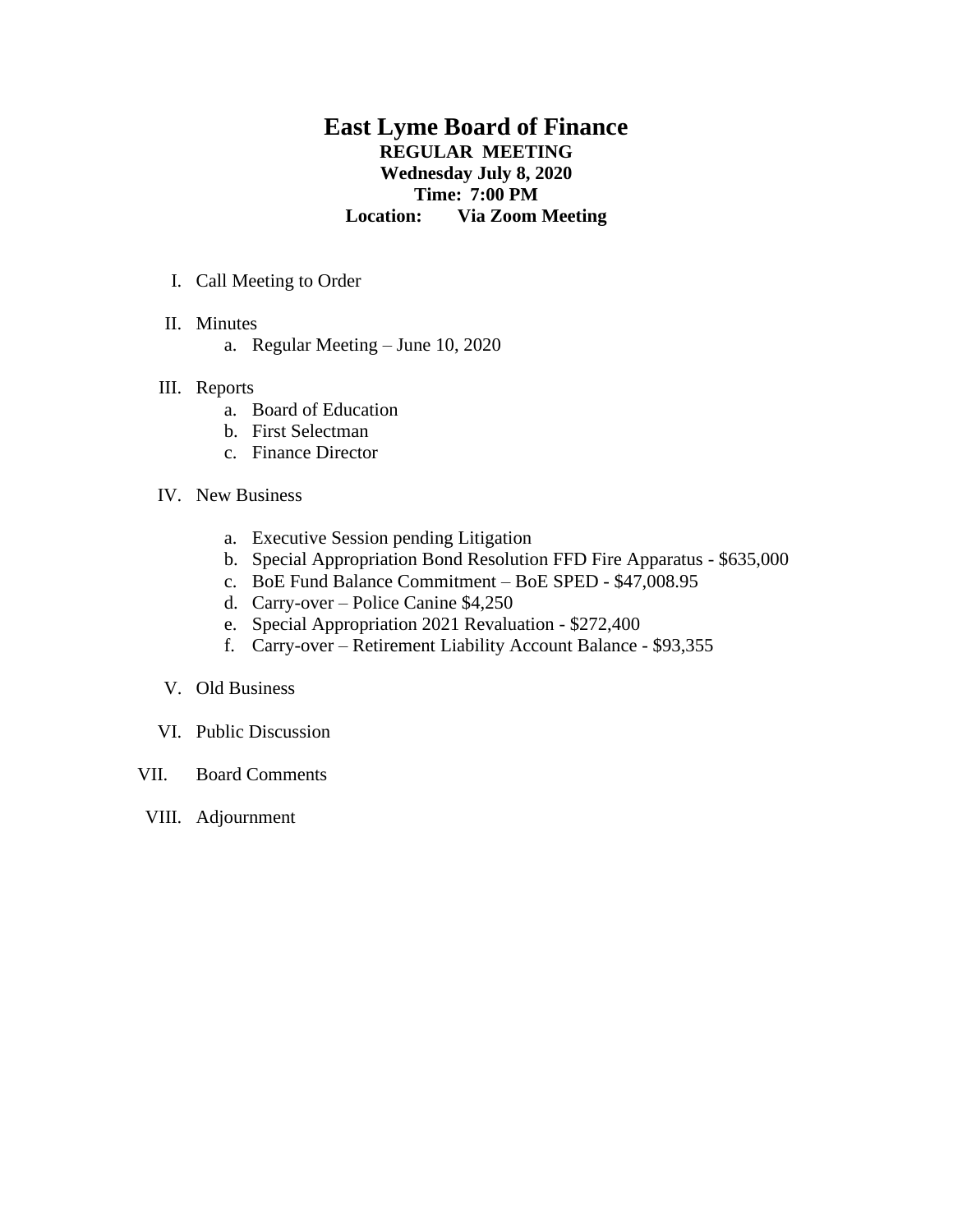## **East Lyme Board of Finance REGULAR MEETING Wednesday July 8, 2020 Time: 7:00 PM Location: Via Zoom Meeting**

- I. Call Meeting to Order
- II. Minutes
	- a. Regular Meeting June 10, 2020

## III. Reports

- a. Board of Education
- b. First Selectman
- c. Finance Director

## IV. New Business

- a. Executive Session pending Litigation
- b. Special Appropriation Bond Resolution FFD Fire Apparatus \$635,000
- c. BoE Fund Balance Commitment BoE SPED \$47,008.95
- d. Carry-over Police Canine \$4,250
- e. Special Appropriation 2021 Revaluation \$272,400
- f. Carry-over Retirement Liability Account Balance \$93,355

## V. Old Business

- VI. Public Discussion
- VII. Board Comments
- VIII. Adjournment